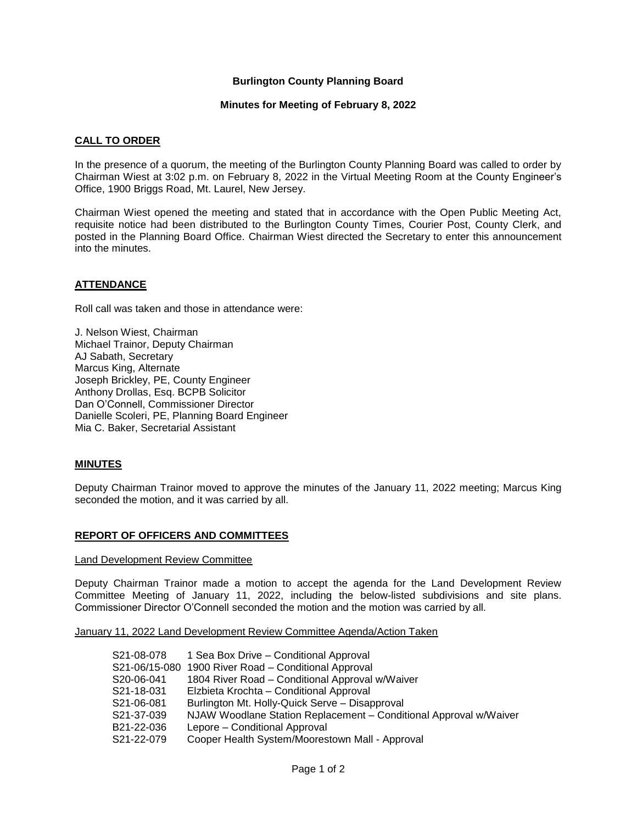# **Burlington County Planning Board**

#### **Minutes for Meeting of February 8, 2022**

### **CALL TO ORDER**

In the presence of a quorum, the meeting of the Burlington County Planning Board was called to order by Chairman Wiest at 3:02 p.m. on February 8, 2022 in the Virtual Meeting Room at the County Engineer's Office, 1900 Briggs Road, Mt. Laurel, New Jersey.

Chairman Wiest opened the meeting and stated that in accordance with the Open Public Meeting Act, requisite notice had been distributed to the Burlington County Times, Courier Post, County Clerk, and posted in the Planning Board Office. Chairman Wiest directed the Secretary to enter this announcement into the minutes.

## **ATTENDANCE**

Roll call was taken and those in attendance were:

J. Nelson Wiest, Chairman Michael Trainor, Deputy Chairman AJ Sabath, Secretary Marcus King, Alternate Joseph Brickley, PE, County Engineer Anthony Drollas, Esq. BCPB Solicitor Dan O'Connell, Commissioner Director Danielle Scoleri, PE, Planning Board Engineer Mia C. Baker, Secretarial Assistant

### **MINUTES**

Deputy Chairman Trainor moved to approve the minutes of the January 11, 2022 meeting; Marcus King seconded the motion, and it was carried by all.

### **REPORT OF OFFICERS AND COMMITTEES**

Land Development Review Committee

Deputy Chairman Trainor made a motion to accept the agenda for the Land Development Review Committee Meeting of January 11, 2022, including the below-listed subdivisions and site plans. Commissioner Director O'Connell seconded the motion and the motion was carried by all.

January 11, 2022 Land Development Review Committee Agenda/Action Taken

| S21-08-078 | 1 Sea Box Drive – Conditional Approval                            |
|------------|-------------------------------------------------------------------|
|            | S21-06/15-080 1900 River Road - Conditional Approval              |
| S20-06-041 | 1804 River Road - Conditional Approval w/Waiver                   |
| S21-18-031 | Elzbieta Krochta – Conditional Approval                           |
| S21-06-081 | Burlington Mt. Holly-Quick Serve - Disapproval                    |
| S21-37-039 | NJAW Woodlane Station Replacement - Conditional Approval w/Waiver |
| B21-22-036 | Lepore – Conditional Approval                                     |
| S21-22-079 | Cooper Health System/Moorestown Mall - Approval                   |